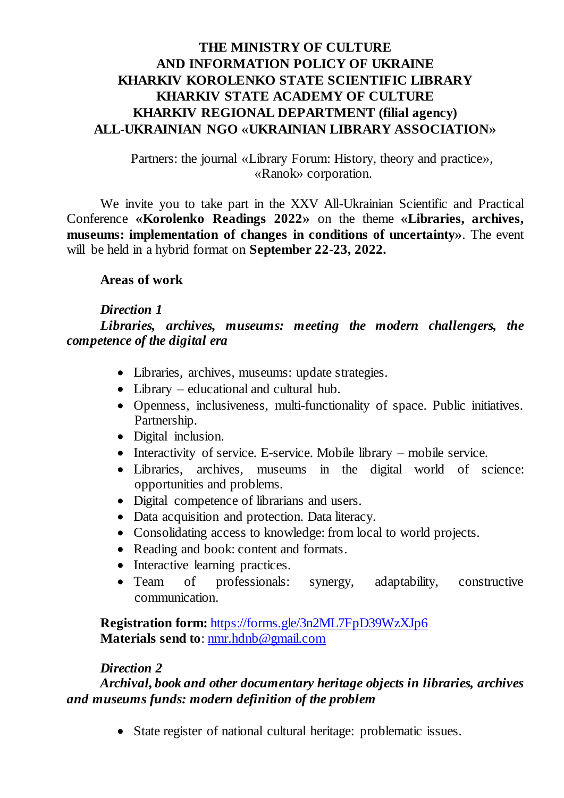## **THE MINISTRY OF CULTURE AND INFORMATION POLICY OF UKRAINE KHARKIV KOROLENKO STATE SCIENTIFIC LIBRARY KHARKIV STATE ACADEMY OF CULTURE KHARKIV REGIONAL DEPARTMENT (filial agency) ALL-UKRAINIAN NGO «UKRAINIAN LIBRARY ASSOCIATION»**

Partners: the journal «Library Forum: History, theory and practice», «Ranok» corporation.

We invite you to take part in the XXV All-Ukrainian Scientific and Practical Conference **«Korolenko Readings 2022»** on the theme **«Libraries, archives, museums: implementation of changes in conditions of uncertainty»**. The event will be held in a hybrid format on **September 22-23, 2022.**

#### **Areas of work**

#### *Direction 1*

*Libraries, archives, museums: meeting the modern challengers, the competence of the digital era*

- Libraries, archives, museums: update strategies.
- Library educational and cultural hub.
- Openness, inclusiveness, multi-functionality of space. Public initiatives. Partnership.
- Digital inclusion.
- Interactivity of service. E-service. Mobile library mobile service.
- Libraries, archives, museums in the digital world of science: opportunities and problems.
- Digital competence of librarians and users.
- Data acquisition and protection. Data literacy.
- Consolidating access to knowledge: from local to world projects.
- Reading and book: content and formats.
- Interactive learning practices.
- Team of professionals: synergy, adaptability, constructive communication.

**Registration form:** <https://forms.gle/3n2ML7FpD39WzXJp6> **Materials send to**[: nmr.hdnb@gmail.com](mailto:nmr.hdnb@gmail.com)

#### *Direction 2*

*Archival, book and other documentary heritage objects in libraries, archives and museums funds: modern definition of the problem*

State register of national cultural heritage: problematic issues.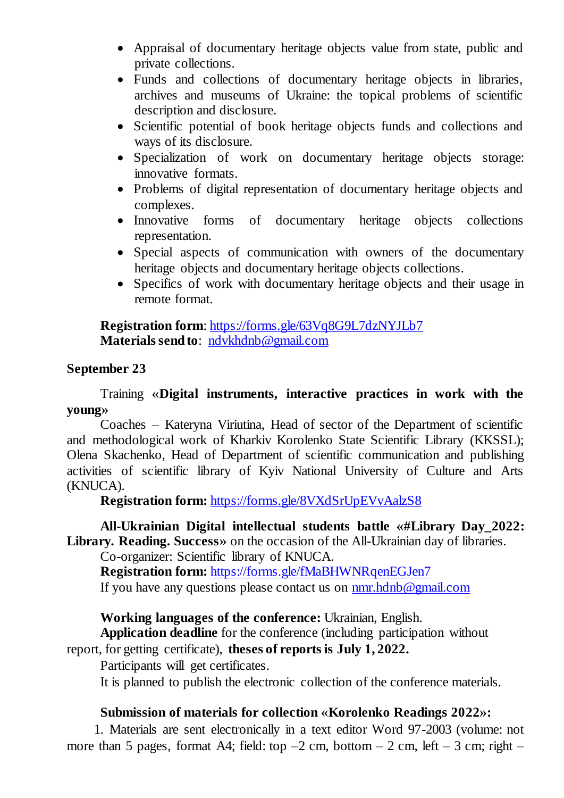- Appraisal of documentary heritage objects value from state, public and private collections.
- Funds and collections of documentary heritage objects in libraries, archives and museums of Ukraine: the topical problems of scientific description and disclosure.
- Scientific potential of book heritage objects funds and collections and ways of its disclosure.
- Specialization of work on documentary heritage objects storage: innovative formats.
- Problems of digital representation of documentary heritage objects and complexes.
- Innovative forms of documentary heritage objects collections representation.
- Special aspects of communication with owners of the documentary heritage objects and documentary heritage objects collections.
- Specifics of work with documentary heritage objects and their usage in remote format.

**Registration form**[: https://forms.gle/63Vq8G9L7dzNYJLb7](https://forms.gle/63Vq8G9L7dzNYJLb7) **Materials send to**: [ndvkhdnb@gmail.com](mailto:ndvkhdnb@gmail.com)

### **September 23**

### Training **«Digital instruments, interactive practices in work with the young»**

Coaches – Kateryna Viriutina, Head of sector of the Department of scientific and methodological work of Kharkiv Korolenko State Scientific Library (KKSSL); Olena Skachenko, Head of Department of scientific communication and publishing activities of scientific library of Kyiv National University of Culture and Arts (KNUCA).

**Registration form:** <https://forms.gle/8VXdSrUpEVvAalzS8>

# **All-Ukrainian Digital intellectual students battle «#Library Day\_2022:**

**Library. Reading. Success»** on the occasion of the All-Ukrainian day of libraries.

Co-organizer: Scientific library of KNUCA.

**Registration form:** <https://forms.gle/fMaBHWNRqenEGJen7>

If you have any questions please contact us on  $\frac{nmr \cdot hdnb \omega_{\text{g}}}{2}$ 

### **Working languages of the conference:** Ukrainian, English.

**Application deadline** for the conference (including participation without report, for getting certificate), **theses of reports is July 1, 2022.**

Participants will get certificates.

It is planned to publish the electronic collection of the conference materials.

### **Submission of materials for collection «Korolenko Readings 2022»:**

1. Materials are sent electronically in a text editor Word 97-2003 (volume: not more than 5 pages, format A4; field: top  $-2$  cm, bottom  $-2$  cm, left  $-3$  cm; right  $-$